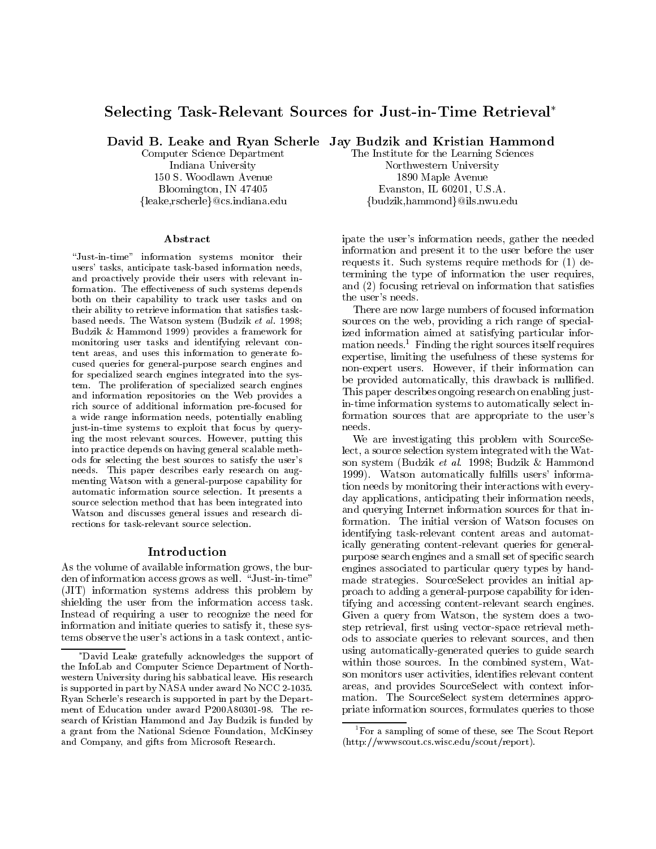# Selecting Task-Relevant Sources for Just-in-Time Retrieval

Computer Science Department Indiana University 150 S. Woodlawn Avenue Bloomington, IN 47405 fleake,rscherleg@cs.indiana.edu

### A bstract

\Just-in-time" information systems monitor their users' tasks, anticipate task-based information needs, and proactively provide their users with relevant information. The effectiveness of such systems depends both on their capability to track user tasks and on their ability to retrieve information that satisfies taskbased needs. The Watson system (Budzik et al. 1998; Budzik & Hammond 1999) provides a framework for monitoring user tasks and identifying relevant con tent areas, and uses this information to generate focused queries for general-purpose search engines and for specialized search engines integrated into the system. The proliferation of specialized search engines and information repositories on the Web provides a rich source of additional information pre-focused for a wide range information needs, potentially enabling just-in-time systems to exploit that focus by querying the most relevant sources. However, putting this into practice depends on having general scalable methods for selecting the best sources to satisfy the user's needs. This paper describes early research on aug menting Watson with a general-purpose capability for automatic information source selection. It presents a source selection method that has been integrated into Watson and discusses general issues and research directions for task-relevant source selection.

### Introduction

As the volume of available information grows, the burden of information access grows as well. "Just-in-time" (JIT) information systems address this problem by shielding the user from the information access task. Instead of requiring a user to recognize the need for information and initiate queries to satisfy it, these systems observe the user's actions in a task context, antic-

David B. Leake and Ryan Scherle Jay Budzik and Kristian Hammond

The Institute for the Learning Sciences Northwestern University 1890 Maple Avenue Evanston, IL 60201, U.S.A. {budzik,hammond}@ils.nwu.edu

ipate the user's information needs, gather the needed information and present it to the user before the user requests it. Such systems require methods for (1) determining the type of information the user requires, and (2) focusing retrieval on information that satisfies the user's needs.

There are now large numbers of focused information sources on the web, providing a rich range of specialized information aimed at satisfying particular information needs.<sup>1</sup> Finding the right sources itself requires expertise, limiting the usefulness of these systems for non-expert users. However, if their information can be provided automatically, this drawback is nullified. This paper describes ongoing research on enabling justin-time information systems to automatically select information sources that are appropriate to the user's needs.

We are investigating this problem with SourceSelect, a source selection system integrated with the Watson system (Budzik et al. 1998; Budzik & Hammond 1999). Watson automatically fulfills users' information needs by monitoring their interactions with everyday applications, anticipating their information needs. and querying Internet information sources for that information. The initial version of Watson focuses on identifying task-relevant content areas and automatically generating content-relevant queries for generalpurpose search engines and a small set of specic search engines associated to particular query types by handmade strategies. SourceSelect provides an initial approach to adding a general-purpose capability for identifying and accessing content-relevant search engines. Given a query from Watson, the system does a twostep retrieval, first using vector-space retrieval methods to associate queries to relevant sources, and then using automatically-generated queries to guide search within those sources. In the combined system, Watson monitors user activities, identifies relevant content areas, and provides SourceSelect with context information. The SourceSelect system determines appropriate information sources, formulates queries to those

David Leake gratefully acknowledges the support of the InfoLab and Computer Science Department of North western University during his sabbatical leave. His research is supported in part by NASA under award No NCC 2-1035. Ryan Scherle's research is supported in part by the Depart ment of Education under award P200A80301-98. The re search of Kristian Hammond and Jay Budzik is funded by a grant from the National Science Foundation, McKinsey and Company, and gifts from Microsoft Research.

 ${}^{1}$ For a sampling of some of these, see The Scout Report (http://wwwscout.cs.wisc.edu/scout/report).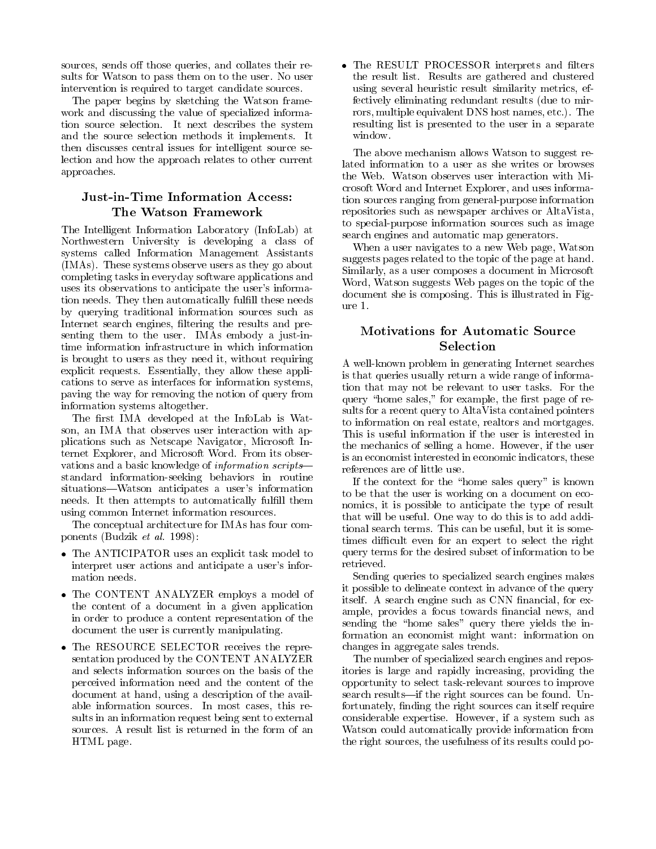sources, sends off those queries, and collates their results for Watson to pass them on to the user. No user intervention is required to target candidate sources.

The paper begins by sketching the Watson frame work and discussing the value of specialized information source selection. It next describes the system and the source selection methods it implements. It then discusses central issues for intelligent source selection and how the approach relates to other current approaches.

# Just-in-Time Information Access: The Watson Framework

The Intelligent Information Laboratory (InfoLab) at Northwestern University is developing a class of systems called Information Management Assistants (IMAs). These systems observe users as they go about completing tasks in everyday software applications and uses its observations to anticipate the user's information needs. They then automatically fulfill these needs ure 1. by querying traditional information sources such as Internet search engines, filtering the results and presenting them to the user. IMAs embody a just-intime information infrastructure in which information is brought to users as they need it, without requiring explicit requests. Essentially, they allow these applications to serve as interfaces for information systems, paving the way for removing the notion of query from information systems altogether.

The first IMA developed at the InfoLab is Watson, an IMA that observes user interaction with applications such as Netscape Navigator, Microsoft Internet Explorer, and Microsoft Word. From its obser vations and a basic knowledge of *information scripts* standard information-seeking behaviors in routine situations—Watson anticipates a user's information needs. It then attempts to automatically fulfill them using common Internet information resources.

The conceptual architecture for IMAs has four components (Budzik et al. 1998):

- The ANTICIPATOR uses an explicit task model to the qu interpret user actions and anticipate a user's information needs.
- $\bullet$  lne CONTENT ANALYZER employs a model of the content of a document in a given application in order to produce a content representation of the document the user is currently manipulating.
- The RESOURCE SELECTOR receives the representation produced by the CONTENT ANALYZER and selects information sources on the basis of the perceived information need and the content of the document at hand, using a description of the available information sources. In most cases, this results in an information request being sent to external sources. A result list is returned in the form of an HTML page.

 $\bullet$  The RESULI PROCESSOR interprets and filters the result list. Results are gathered and clustered using several heuristic result similarity metrics, effectively eliminating redundant results (due to mirrors, multiple equivalent DNS host names, etc.). The resulting list is presented to the user in a separate window.

The above mechanism allows Watson to suggest related information to a user as she writes or browses the Web. Watson observes user interaction with Microsoft Word and Internet Explorer, and uses information sources ranging from general-purpose information repositories such as newspaper archives or AltaVista, to special-purpose information sources such as image search engines and automatic map generators.

When a user navigates to a new Web page, Watson suggests pages related to the topic of the page at hand. Similarly, as a user composes a document in Microsoft Word, Watson suggests Web pages on the topic of the document she is composing. This is illustrated in Fig-

# Motivations for Automatic Source

A well-known problem in generating Internet searches is that queries usually return a wide range of information that may not be relevant to user tasks. For the query "home sales," for example, the first page of results for a recent query to AltaVista contained pointers to information on real estate, realtors and mortgages. This is useful information if the user is interested in the mechanics of selling a home. However, if the user is an economist interested in economic indicators, these references are of little use.

If the context for the "home sales query" is known to be that the user is working on a document on economics, it is possible to anticipate the type of result that will be useful. One way to do this is to add additional search terms. This can be useful, but it is sometimes difficult even for an expert to select the right query terms for the desired subset of information to be retrieved.

Sending queries to specialized search engines makes it possible to delineate context in advance of the query itself. A search engine such as CNN financial, for example, provides a focus towards financial news, and sending the "home sales" query there yields the information an economist might want: information on changes in aggregate sales trends.

The number of specialized search engines and repositories is large and rapidly increasing, providing the opportunity to select task-relevant sources to improve search results—if the right sources can be found. Unfortunately, finding the right sources can itself require considerable expertise. However, if a system such as Watson could automatically provide information from the right sources, the usefulness of its results could po-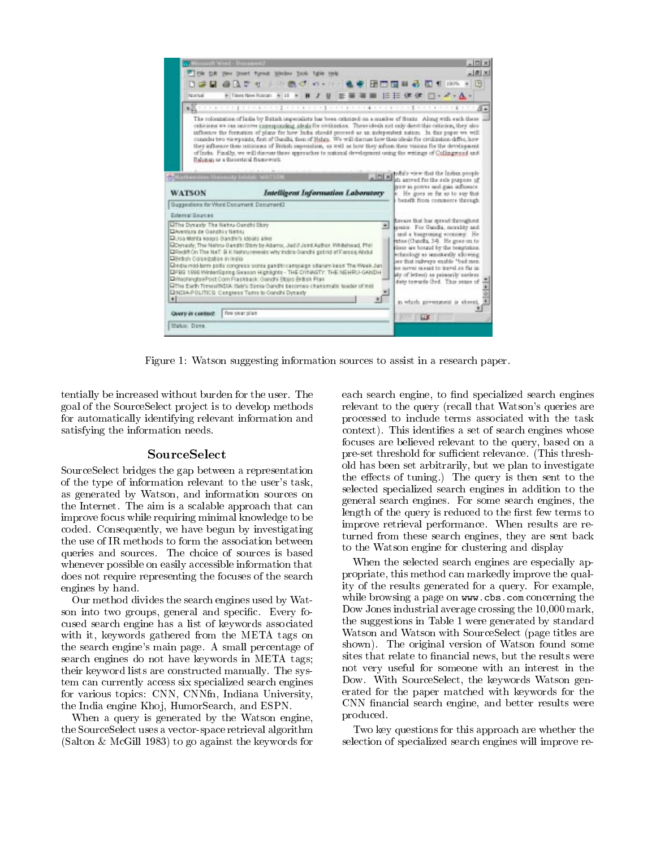| <b>START WARE-THE</b>                                                                                                                                                    |                                                                                                                                                                                                                                                                                                                                                                                                                                                                                                                                                                                                                                                                                                                                                                  | $ \Box x$                                                                                                                                                                                                                                                                                                                                                                |
|--------------------------------------------------------------------------------------------------------------------------------------------------------------------------|------------------------------------------------------------------------------------------------------------------------------------------------------------------------------------------------------------------------------------------------------------------------------------------------------------------------------------------------------------------------------------------------------------------------------------------------------------------------------------------------------------------------------------------------------------------------------------------------------------------------------------------------------------------------------------------------------------------------------------------------------------------|--------------------------------------------------------------------------------------------------------------------------------------------------------------------------------------------------------------------------------------------------------------------------------------------------------------------------------------------------------------------------|
| The Full                                                                                                                                                                 | Doert format Wedne Taob Table teels                                                                                                                                                                                                                                                                                                                                                                                                                                                                                                                                                                                                                                                                                                                              |                                                                                                                                                                                                                                                                                                                                                                          |
|                                                                                                                                                                          | DIR # 437 せい中国ペロ・コール中国国国の第一国有1000 - 国                                                                                                                                                                                                                                                                                                                                                                                                                                                                                                                                                                                                                                                                                                                            |                                                                                                                                                                                                                                                                                                                                                                          |
| <b>Romal</b>                                                                                                                                                             | ※TheoderRocks × 11 × B / U 正著著書 田   三三 健健 □ - イ - △ -                                                                                                                                                                                                                                                                                                                                                                                                                                                                                                                                                                                                                                                                                                            |                                                                                                                                                                                                                                                                                                                                                                          |
|                                                                                                                                                                          | $\frac{1}{2}$ . The second contract of $\frac{1}{2}$ is a second contract of $\frac{1}{2}$ . The second contract of $\frac{1}{2}$ is a second contract of $\frac{1}{2}$                                                                                                                                                                                                                                                                                                                                                                                                                                                                                                                                                                                          |                                                                                                                                                                                                                                                                                                                                                                          |
|                                                                                                                                                                          | The rolonization of ladia by Batish imperishets has been catatized on a number of fronts. Along with each there<br>cellstime we can necover componding ideals for elvinosium. These ideals not only deem this cellscion, they also<br>influence the formation of plans for how links should proceed as an independent nation. In this paper we will<br>consider two vis wpears, first of Gandhi, then of Helyp. We will discuss how their ideals for civilization differ, how<br>they influence their oritions as of British impresidion, as well as how they inform their visions for the development<br>of Inde. Finally, we will discuss these approaches to national development using the writings of Collingwood and<br>Rahman or a theoretical framework. |                                                                                                                                                                                                                                                                                                                                                                          |
| Schoolwestern University Infolair: VATSON                                                                                                                                | - Dixi book with the index propis                                                                                                                                                                                                                                                                                                                                                                                                                                                                                                                                                                                                                                                                                                                                |                                                                                                                                                                                                                                                                                                                                                                          |
| <b>WATSON</b>                                                                                                                                                            | Intelligent Information Laboratory                                                                                                                                                                                                                                                                                                                                                                                                                                                                                                                                                                                                                                                                                                                               | th anived for the sule purpose of<br>print in potter and gain influence.<br>e. He goes so far us to say that                                                                                                                                                                                                                                                             |
| Guggestions for Word Document, Document2.                                                                                                                                |                                                                                                                                                                                                                                                                                                                                                                                                                                                                                                                                                                                                                                                                                                                                                                  | benefit from commerce through                                                                                                                                                                                                                                                                                                                                            |
| <b>External Sources</b>                                                                                                                                                  |                                                                                                                                                                                                                                                                                                                                                                                                                                                                                                                                                                                                                                                                                                                                                                  | Revers that has spread throughout                                                                                                                                                                                                                                                                                                                                        |
| Ultre Dynasty: The Nehru-Gandhi Story<br>Divertura de Gandhi y Nebsu<br>Diloa Monta keess Bandhi's idools alike<br>Diesen Coleegatee In India<br>мł<br>Givery in context | Domasty, The Nehru-Gandhi Story by Adams, Jack Joint Asthor. Whitehead, Phil.<br>ERediff On The NeT: B K Nehru reveals why India Gandhi got rid of Fareeg Abdul<br>Diedia mid-term polis congress sonta gandhi campaign situsen kass The Week Jani<br>EPRG 1999 WreenSpring Season Highlights - THE DYNASTY: THE NEHRLI-GANDH<br>DivisioningtonPost Com Flashback: Gandhi Stops British Plan<br>Office Earth ThmeseWDIA Hale's Sonia Oandhi becomes charismatic leader of inci-<br>EINDIA-POLITICS: Congress Turns to Gandhi Dynasty<br>five year plan.                                                                                                                                                                                                          | all serior. For Gandhi, morality and<br>and a buseroung economy. He<br>ertus (Candhi, 34). He goes on to<br>fosse are bound by the beautisting.<br>echnology as senstorally allowing<br>see that relyers enable "but men<br>on never meant to travel so far in<br>dy of lettest as primarily useless<br>duty towards Oud. This sense of<br>in which government is shored |
| <b>Studuo: Dona</b>                                                                                                                                                      | <b>INSTERNED IN</b>                                                                                                                                                                                                                                                                                                                                                                                                                                                                                                                                                                                                                                                                                                                                              |                                                                                                                                                                                                                                                                                                                                                                          |
|                                                                                                                                                                          |                                                                                                                                                                                                                                                                                                                                                                                                                                                                                                                                                                                                                                                                                                                                                                  |                                                                                                                                                                                                                                                                                                                                                                          |

Figure 1: Watson suggesting information sources to assist in a research paper.

tentially be increased without burden for the user. The goal of the SourceSelect pro ject is to develop methods for automatically identifying relevant information and satisfying the information needs.

### SourceSelect

SourceSelect bridges the gap between a representation of the type of information relevant to the user's task, as generated by Watson, and information sources on the Internet. The aim is a scalable approach that can improve focus while requiring minimal knowledge to be coded. Consequently, we have begun by investigating the use of IR methods to form the association between queries and sources. The choice of sources is based whenever possible on easily accessible information that does not require representing the focuses of the search engines by hand.

Our method divides the search engines used by Watson into two groups, general and specific. Every focused search engine has a list of keywords associated with it, keywords gathered from the META tags on the search engine's main page. A small percentage of search engines do not have keywords in META tags; their keyword lists are constructed manually. The system can currently access six specialized search engines for various topics: CNN, CNNfn, Indiana University, the India engine Khoj, HumorSearch, and ESPN.

When a query is generated by the Watson engine, the SourceSelect uses a vector-space retrieval algorithm (Salton & McGill 1983) to go against the keywords for each search engine, to find specialized search engines relevant to the query (recall that Watson's queries are processed to include terms associated with the task context). This identifies a set of search engines whose focuses are believed relevant to the query, based on a pre-set threshold for sufficient relevance. (This threshold has been set arbitrarily, but we plan to investigate the effects of tuning.) The query is then sent to the selected specialized search engines in addition to the general search engines. For some search engines, the length of the query is reduced to the first few terms to improve retrieval performance. When results are returned from these search engines, they are sent back to the Watson engine for clustering and display

When the selected search engines are especially appropriate, this method can markedly improve the quality of the results generated for a query. For example, while browsing a page on www.cbs.com concerning the Dow Jones industrial average crossing the 10,000 mark, the suggestions in Table 1 were generated by standard Watson and Watson with SourceSelect (page titles are shown). The original version of Watson found some sites that relate to financial news, but the results were not very useful for someone with an interest in the Dow. With SourceSelect, the keywords Watson generated for the paper matched with keywords for the CNN financial search engine, and better results were produced.

Two key questions for this approach are whether the selection of specialized search engines will improve re-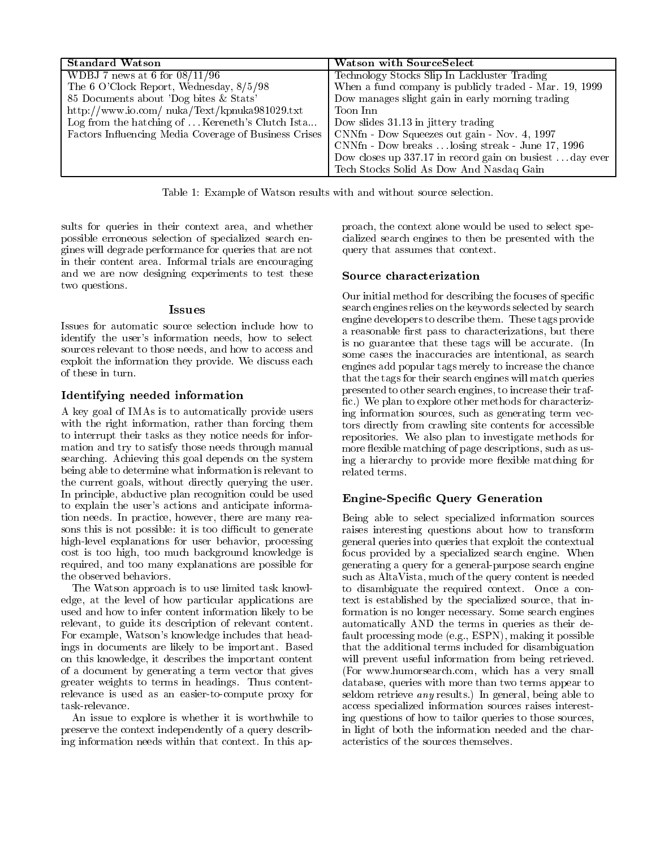| <b>Standard Watson</b>                                | <b>Watson with SourceSelect</b>                        |  |
|-------------------------------------------------------|--------------------------------------------------------|--|
| WDBJ 7 news at 6 for $08/11/96$                       | Technology Stocks Slip In Lackluster Trading           |  |
| The 6 O'Clock Report, Wednesday, 8/5/98               | When a fund company is publicly traded - Mar. 19, 1999 |  |
| 85 Documents about 'Dog bites & Stats'                | Dow manages slight gain in early morning trading       |  |
| http://www.io.com/nuka/Text/kpnuka981029.txt          | Toon Inn                                               |  |
| Log from the hatching of  Kereneth's Clutch Ista      | Dow slides 31.13 in jittery trading                    |  |
| Factors Influencing Media Coverage of Business Crises | CNNfn - Dow Squeezes out gain - Nov. 4, 1997           |  |
|                                                       | CNNfn - Dow breaks  losing streak - June 17, 1996      |  |
|                                                       | Dow closes up 337.17 in record gain on busiestday ever |  |
|                                                       | Tech Stocks Solid As Dow And Nasdaq Gain               |  |

Table 1: Example of Watson results with and without source selection.

sults for queries in their context area, and whether possible erroneous selection of specialized search engines will degrade performance for queries that are not in their content area. Informal trials are encouraging and we are now designing experiments to test these two questions.

# **Issues**

Issues for automatic source selection include how to Issues for automatic source selection include how to identify the user's information needs, how to select sources relevant to those needs, and how to access and exploit the information they provide. We discuss each of these in turn.

# Identify in the contract information in the contract of the contract of the contract of the contract of the co

A key goal of IMAs is to automatically provide users with the right information, rather than forcing them to interrupt their tasks as they notice needs for information and try to satisfy those needs through manual searching. Achieving this goal depends on the system being able to determine what information is relevant to the current goals, without directly querying the user. In principle, abductive plan recognition could be used to explain the user's actions and anticipate information needs. In practice, however, there are many reasons this is not possible: it is too difficult to generate high-level explanations for user behavior, processing cost is too high, too much background knowledge is required, and too many explanations are possible for the observed behaviors.

The Watson approach is to use limited task knowledge, at the level of how particular applications are used and how to infer content information likely to be relevant, to guide its description of relevant content. For example, Watson's knowledge includes that headings in documents are likely to be important. Based on this knowledge, it describes the important content of a document by generating a term vector that gives greater weights to terms in headings. Thus contentrelevance is used as an easier-to-compute proxy for task-relevance.

An issue to explore is whether it is worthwhile to preserve the context independently of a query describing information needs within that context. In this approach, the context alone would be used to select specialized search engines to then be presented with the query that assumes that context.

Our initial method for describing the focuses of specic search engines relies on the keywords selected by search engine developers to describe them. These tags provide a reasonable first pass to characterizations, but there is no guarantee that these tags will be accurate. (In some cases the inaccuracies are intentional, as search engines add popular tags merely to increase the chance that the tags for their search engines will match queries presented to other search engines, to increase their traf fic.) We plan to explore other methods for characterizing information sources, such as generating term vectors directly from crawling site contents for accessible repositories. We also plan to investigate methods for more flexible matching of page descriptions, such as using a hierarchy to provide more flexible matching for related terms.

# Engine-Specic Query Generation

Being able to select specialized information sources raises interesting questions about how to transform general queries into queries that exploit the contextual focus provided by a specialized search engine. When generating a query for a general-purpose search engine such as AltaVista, much of the query content is needed to disambiguate the required context. Once a context is established by the specialized source, that information is no longer necessary. Some search engines automatically AND the terms in queries as their default processing mode (e.g., ESPN), making it possible that the additional terms included for disambiguation will prevent useful information from being retrieved. (For www.humorsearch.com, which has a very small database, queries with more than two terms appear to seldom retrieve any results.) In general, being able to access specialized information sources raises interesting questions of how to tailor queries to those sources, in light of both the information needed and the characteristics of the sources themselves.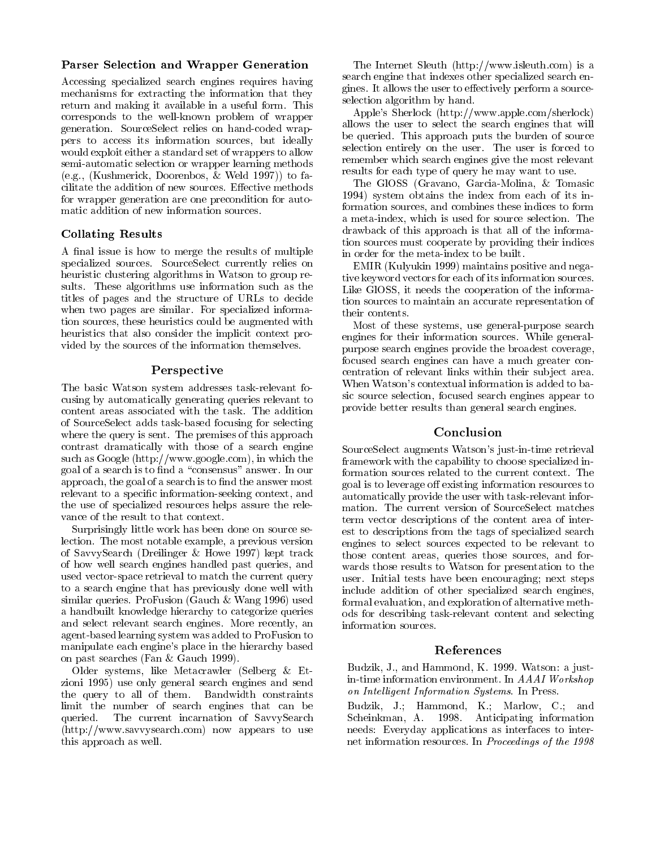### Parser Selection and Wrapper Generation

Accessing specialized search engines requires having mechanisms for extracting the information that they return and making it available in a useful form. This corresponds to the well-known problem of wrapper generation. SourceSelect relies on hand-coded wrappers to access its information sources, but ideally would exploit either a standard set of wrappers to allow semi-automatic selection or wrapper learning methods (e.g., (Kushmerick, Doorenbos, & Weld 1997)) to facilitate the addition of new sources. Effective methods for wrapper generation are one precondition for automatic addition of new information sources.

## Collation Results and Collation Results and Collation Results and Collation Results and Collation Results and Collation Results are a set of the collation of the collation Results and Collation Results and Collation Result

A final issue is how to merge the results of multiple specialized sources. SourceSelect currently relies on heuristic clustering algorithms in Watson to group results. These algorithms use information such as the titles of pages and the structure of URLs to decide when two pages are similar. For specialized information sources, these heuristics could be augmented with heuristics that also consider the implicit context provided by the sources of the information themselves.

## Perspective

The basic Watson system addresses task-relevant focusing by automatically generating queries relevant to content areas associated with the task. The addition of SourceSelect adds task-based focusing for selecting where the query is sent. The premises of this approach contrast dramatically with those of a search engine such as Google (http://www.google.com), in which the goal of a search is to find a "consensus" answer. In our approach, the goal of a search is to find the answer most relevant to a specific information-seeking context, and the use of specialized resources helps assure the rele vance of the result to that context.

Surprisingly little work has been done on source selection. The most notable example, a previous version of SavvySearch (Dreilinger & Howe 1997) kept track of how well search engines handled past queries, and used vector-space retrieval to match the current query to a search engine that has previously done well with similar queries. ProFusion (Gauch&Wang 1996) used a handbuilt knowledge hierarchy to categorize queries and select relevant search engines. More recently, an agent-based learning system was added to ProFusion to manipulate each engine's place in the hierarchy based on past searches (Fan & Gauch 1999).

Older systems, like Metacrawler (Selberg & Etzioni 1995) use only general search engines and send the query to allof them. Bandwidth constraints limit the number of search engines that can be queried. The current incarnation of SavvySearch (http://www.savvysearch.com) now appears to use this approach as well.

The Internet Sleuth (http://www.isleuth.com) is a search engine that indexes other specialized search engines. It allows the user to effectively perform a sourceselection algorithm by hand.

Apple's Sherlock (http://www.apple.com/sherlock) allows the user to select the search engines that will be queried. This approach puts the burden of source selection entirely on the user. The user is forced to remember which search engines give the most relevant results for each type of query he may want to use.

The GlOSS (Gravano, Garcia-Molina, & Tomasic 1994) system obtains the index from each of its information sources, and combines these indices to form a meta-index, which is used for source selection. The drawback of this approach is that all of the information sources must cooperate by providing their indices in order for the meta-index to be built.

EMIR (Kulyukin 1999) maintains positive and negative keyword vectors for each of its information sources. Like GlOSS, it needs the cooperation of the information sources to maintain an accurate representation of their contents.

Most of these systems, use general-purpose search engines for their information sources. While generalpurpose search engines provide the broadest coverage, focused search engines can have a much greater concentration of relevant links within their sub ject area. When Watson's contextual information is added to basic source selection, focused search engines appear to provide better results than general search engines.

# Conclusion

SourceSelect augments Watson's just-in-time retrieval framework with the capability to choose specialized information sources related to the current context. The goal is to leverage off existing information resources to automatically provide the user with task-relevant information. The current version of SourceSelect matches term vector descriptions of the content area of interest to descriptions from the tags of specialized search engines to select sources expected to be relevant to those content areas, queries those sources, and for wards those results to Watson for presentation to the user. Initial tests have been encouraging; next steps include addition of other specialized search engines, formal evaluation, and exploration of alternative methods for describing task-relevant content and selecting information sources.

### References

Budzik, J., and Hammond, K. 1999. Watson: a justin-time information environment. In AAAI Workshop on Intelligent Information Systems. In Press.

Budzik, J.; Hammond, K.; Marlow, C.; and Scheinkman, A. 1998. Anticipating information needs: Everyday applications as interfaces to internet information resources. In Proceedings of the 1998